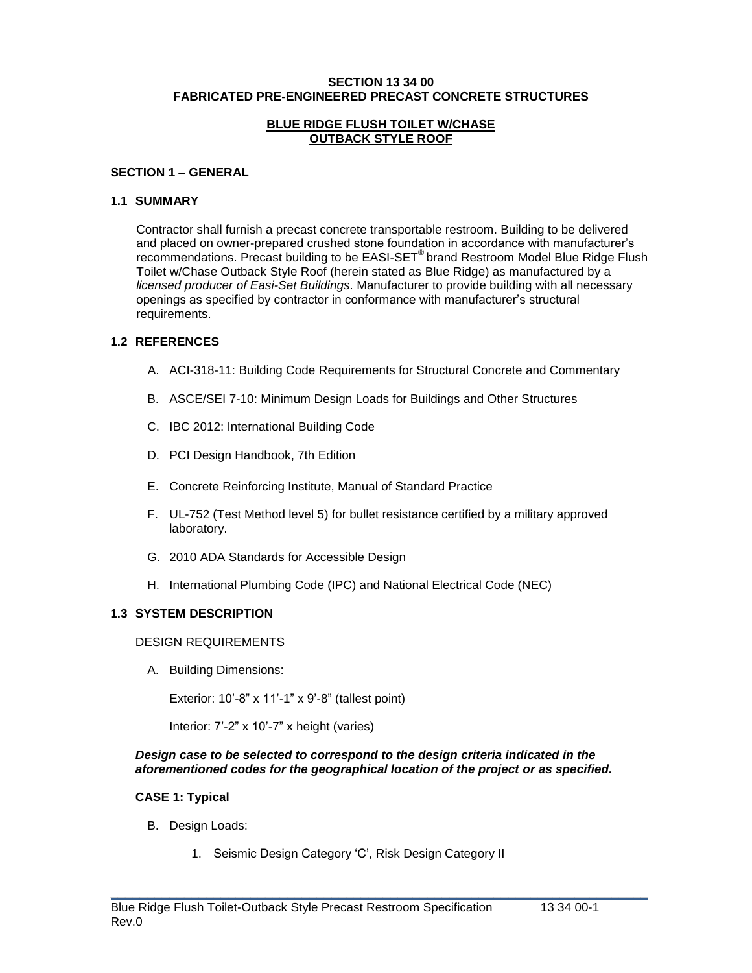#### **SECTION 13 34 00 FABRICATED PRE-ENGINEERED PRECAST CONCRETE STRUCTURES**

#### **BLUE RIDGE FLUSH TOILET W/CHASE OUTBACK STYLE ROOF**

#### **SECTION 1 – GENERAL**

#### **1.1 SUMMARY**

Contractor shall furnish a precast concrete transportable restroom. Building to be delivered and placed on owner-prepared crushed stone foundation in accordance with manufacturer's recommendations. Precast building to be EASI-SET<sup>®</sup> brand Restroom Model Blue Ridge Flush Toilet w/Chase Outback Style Roof (herein stated as Blue Ridge) as manufactured by a *licensed producer of Easi-Set Buildings*. Manufacturer to provide building with all necessary openings as specified by contractor in conformance with manufacturer's structural requirements.

## **1.2 REFERENCES**

- A. ACI-318-11: Building Code Requirements for Structural Concrete and Commentary
- B. ASCE/SEI 7-10: Minimum Design Loads for Buildings and Other Structures
- C. IBC 2012: International Building Code
- D. PCI Design Handbook, 7th Edition
- E. Concrete Reinforcing Institute, Manual of Standard Practice
- F. UL-752 (Test Method level 5) for bullet resistance certified by a military approved laboratory.
- G. 2010 ADA Standards for Accessible Design
- H. International Plumbing Code (IPC) and National Electrical Code (NEC)

## **1.3 SYSTEM DESCRIPTION**

#### DESIGN REQUIREMENTS

A. Building Dimensions:

Exterior: 10'-8" x 11'-1" x 9'-8" (tallest point)

Interior: 7'-2" x 10'-7" x height (varies)

#### *Design case to be selected to correspond to the design criteria indicated in the aforementioned codes for the geographical location of the project or as specified.*

 $\_$  , and the set of the set of the set of the set of the set of the set of the set of the set of the set of the set of the set of the set of the set of the set of the set of the set of the set of the set of the set of th

## **CASE 1: Typical**

- B. Design Loads:
	- 1. Seismic Design Category 'C', Risk Design Category II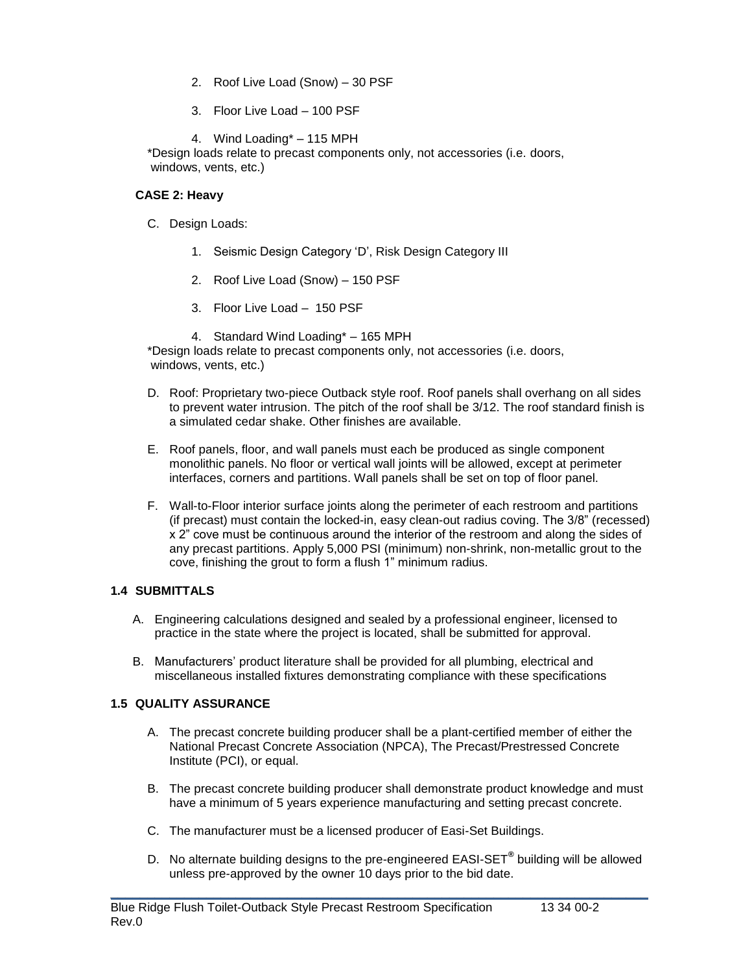- 2. Roof Live Load (Snow) 30 PSF
- 3. Floor Live Load 100 PSF
- 4. Wind Loading\* 115 MPH

\*Design loads relate to precast components only, not accessories (i.e. doors, windows, vents, etc.)

## **CASE 2: Heavy**

- C. Design Loads:
	- 1. Seismic Design Category 'D', Risk Design Category III
	- 2. Roof Live Load (Snow) 150 PSF
	- 3. Floor Live Load 150 PSF
	- 4. Standard Wind Loading\* 165 MPH

\*Design loads relate to precast components only, not accessories (i.e. doors, windows, vents, etc.)

- D. Roof: Proprietary two-piece Outback style roof. Roof panels shall overhang on all sides to prevent water intrusion. The pitch of the roof shall be 3/12. The roof standard finish is a simulated cedar shake. Other finishes are available.
- E. Roof panels, floor, and wall panels must each be produced as single component monolithic panels. No floor or vertical wall joints will be allowed, except at perimeter interfaces, corners and partitions. Wall panels shall be set on top of floor panel.
- F. Wall-to-Floor interior surface joints along the perimeter of each restroom and partitions (if precast) must contain the locked-in, easy clean-out radius coving. The 3/8" (recessed) x 2" cove must be continuous around the interior of the restroom and along the sides of any precast partitions. Apply 5,000 PSI (minimum) non-shrink, non-metallic grout to the cove, finishing the grout to form a flush 1" minimum radius.

# **1.4 SUBMITTALS**

- A. Engineering calculations designed and sealed by a professional engineer, licensed to practice in the state where the project is located, shall be submitted for approval.
- B. Manufacturers' product literature shall be provided for all plumbing, electrical and miscellaneous installed fixtures demonstrating compliance with these specifications

# **1.5 QUALITY ASSURANCE**

- A. The precast concrete building producer shall be a plant-certified member of either the National Precast Concrete Association (NPCA), The Precast/Prestressed Concrete Institute (PCI), or equal.
- B. The precast concrete building producer shall demonstrate product knowledge and must have a minimum of 5 years experience manufacturing and setting precast concrete.
- C. The manufacturer must be a licensed producer of Easi-Set Buildings.
- D. No alternate building designs to the pre-engineered EASI-SET**®** building will be allowed unless pre-approved by the owner 10 days prior to the bid date.

 $\_$  , and the set of the set of the set of the set of the set of the set of the set of the set of the set of the set of the set of the set of the set of the set of the set of the set of the set of the set of the set of th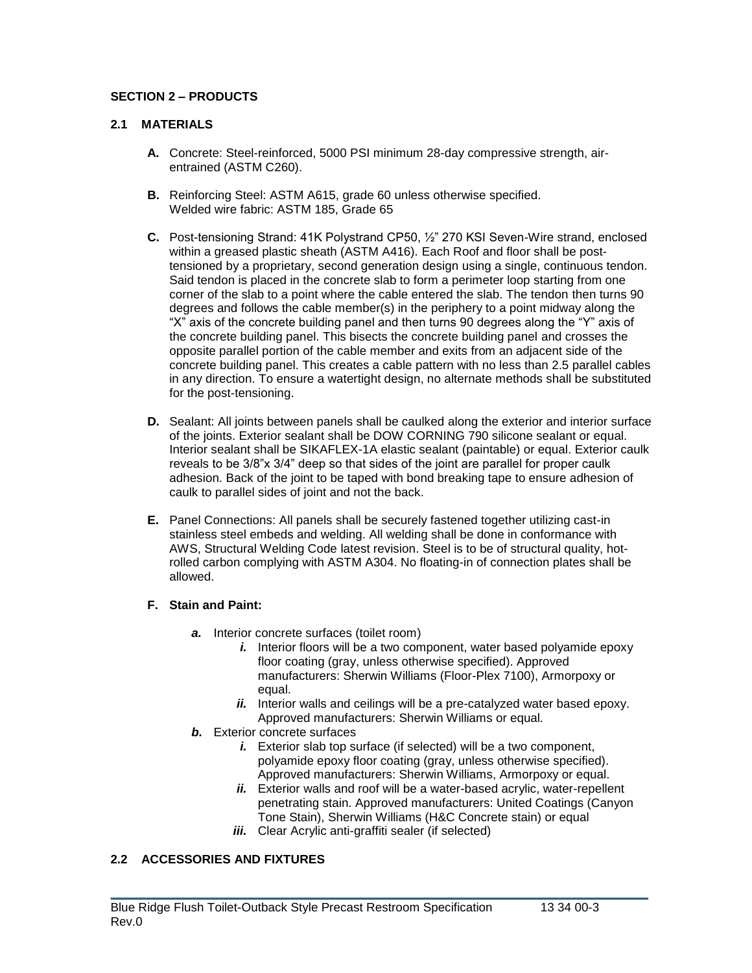# **SECTION 2 – PRODUCTS**

## **2.1 MATERIALS**

- **A.** Concrete: Steel-reinforced, 5000 PSI minimum 28-day compressive strength, airentrained (ASTM C260).
- **B.** Reinforcing Steel: ASTM A615, grade 60 unless otherwise specified. Welded wire fabric: ASTM 185, Grade 65
- **C.** Post-tensioning Strand: 41K Polystrand CP50, ½" 270 KSI Seven-Wire strand, enclosed within a greased plastic sheath (ASTM A416). Each Roof and floor shall be posttensioned by a proprietary, second generation design using a single, continuous tendon. Said tendon is placed in the concrete slab to form a perimeter loop starting from one corner of the slab to a point where the cable entered the slab. The tendon then turns 90 degrees and follows the cable member(s) in the periphery to a point midway along the "X" axis of the concrete building panel and then turns 90 degrees along the "Y" axis of the concrete building panel. This bisects the concrete building panel and crosses the opposite parallel portion of the cable member and exits from an adjacent side of the concrete building panel. This creates a cable pattern with no less than 2.5 parallel cables in any direction. To ensure a watertight design, no alternate methods shall be substituted for the post-tensioning.
- **D.** Sealant: All joints between panels shall be caulked along the exterior and interior surface of the joints. Exterior sealant shall be DOW CORNING 790 silicone sealant or equal. Interior sealant shall be SIKAFLEX-1A elastic sealant (paintable) or equal. Exterior caulk reveals to be 3/8"x 3/4" deep so that sides of the joint are parallel for proper caulk adhesion. Back of the joint to be taped with bond breaking tape to ensure adhesion of caulk to parallel sides of joint and not the back.
- **E.** Panel Connections: All panels shall be securely fastened together utilizing cast-in stainless steel embeds and welding. All welding shall be done in conformance with AWS, Structural Welding Code latest revision. Steel is to be of structural quality, hotrolled carbon complying with ASTM A304. No floating-in of connection plates shall be allowed.

## **F. Stain and Paint:**

- *a.* Interior concrete surfaces (toilet room)
	- *i.* Interior floors will be a two component, water based polyamide epoxy floor coating (gray, unless otherwise specified). Approved manufacturers: Sherwin Williams (Floor-Plex 7100), Armorpoxy or equal.
	- *ii.* Interior walls and ceilings will be a pre-catalyzed water based epoxy. Approved manufacturers: Sherwin Williams or equal.
- *b.* Exterior concrete surfaces
	- *i.* Exterior slab top surface (if selected) will be a two component, polyamide epoxy floor coating (gray, unless otherwise specified). Approved manufacturers: Sherwin Williams, Armorpoxy or equal.
	- ii. Exterior walls and roof will be a water-based acrylic, water-repellent penetrating stain. Approved manufacturers: United Coatings (Canyon Tone Stain), Sherwin Williams (H&C Concrete stain) or equal
	- *iii.* Clear Acrylic anti-graffiti sealer (if selected)

 $\_$  , and the set of the set of the set of the set of the set of the set of the set of the set of the set of the set of the set of the set of the set of the set of the set of the set of the set of the set of the set of th

# **2.2 ACCESSORIES AND FIXTURES**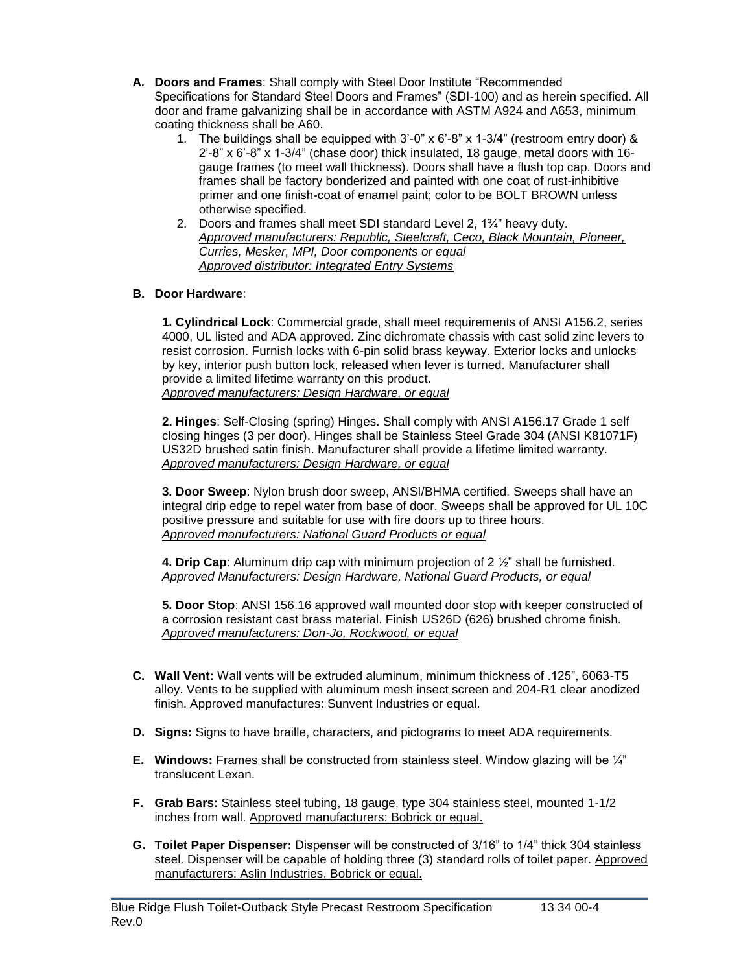- **A. Doors and Frames**: Shall comply with Steel Door Institute "Recommended Specifications for Standard Steel Doors and Frames" (SDI-100) and as herein specified. All door and frame galvanizing shall be in accordance with ASTM A924 and A653, minimum coating thickness shall be A60.
	- 1. The buildings shall be equipped with 3'-0" x 6'-8" x 1-3/4" (restroom entry door) &  $2'-8''$  x  $6'-8''$  x  $1-3/4''$  (chase door) thick insulated, 18 gauge, metal doors with 16gauge frames (to meet wall thickness). Doors shall have a flush top cap. Doors and frames shall be factory bonderized and painted with one coat of rust-inhibitive primer and one finish-coat of enamel paint; color to be BOLT BROWN unless otherwise specified.
	- 2. Doors and frames shall meet SDI standard Level 2, 1¾" heavy duty. *Approved manufacturers: Republic, Steelcraft, Ceco, Black Mountain, Pioneer, Curries, Mesker, MPI, Door components or equal Approved distributor: Integrated Entry Systems*

# **B. Door Hardware**:

**1. Cylindrical Lock**: Commercial grade, shall meet requirements of ANSI A156.2, series 4000, UL listed and ADA approved. Zinc dichromate chassis with cast solid zinc levers to resist corrosion. Furnish locks with 6-pin solid brass keyway. Exterior locks and unlocks by key, interior push button lock, released when lever is turned. Manufacturer shall provide a limited lifetime warranty on this product. *Approved manufacturers: Design Hardware, or equal*

**2. Hinges**: Self-Closing (spring) Hinges. Shall comply with ANSI A156.17 Grade 1 self closing hinges (3 per door). Hinges shall be Stainless Steel Grade 304 (ANSI K81071F) US32D brushed satin finish. Manufacturer shall provide a lifetime limited warranty. *Approved manufacturers: Design Hardware, or equal*

**3. Door Sweep**: Nylon brush door sweep, ANSI/BHMA certified. Sweeps shall have an integral drip edge to repel water from base of door. Sweeps shall be approved for UL 10C positive pressure and suitable for use with fire doors up to three hours. *Approved manufacturers: National Guard Products or equal*

**4. Drip Cap**: Aluminum drip cap with minimum projection of 2 ½" shall be furnished. *Approved Manufacturers: Design Hardware, National Guard Products, or equal*

**5. Door Stop**: ANSI 156.16 approved wall mounted door stop with keeper constructed of a corrosion resistant cast brass material. Finish US26D (626) brushed chrome finish. *Approved manufacturers: Don-Jo, Rockwood, or equal*

- **C. Wall Vent:** Wall vents will be extruded aluminum, minimum thickness of .125", 6063-T5 alloy. Vents to be supplied with aluminum mesh insect screen and 204-R1 clear anodized finish. Approved manufactures: Sunvent Industries or equal.
- **D. Signs:** Signs to have braille, characters, and pictograms to meet ADA requirements.
- **E. Windows:** Frames shall be constructed from stainless steel. Window glazing will be ¼" translucent Lexan.
- **F. Grab Bars:** Stainless steel tubing, 18 gauge, type 304 stainless steel, mounted 1-1/2 inches from wall. Approved manufacturers: Bobrick or equal.
- **G. Toilet Paper Dispenser:** Dispenser will be constructed of 3/16" to 1/4" thick 304 stainless steel. Dispenser will be capable of holding three (3) standard rolls of toilet paper. Approved manufacturers: Aslin Industries, Bobrick or equal.

 $\_$  , and the set of the set of the set of the set of the set of the set of the set of the set of the set of the set of the set of the set of the set of the set of the set of the set of the set of the set of the set of th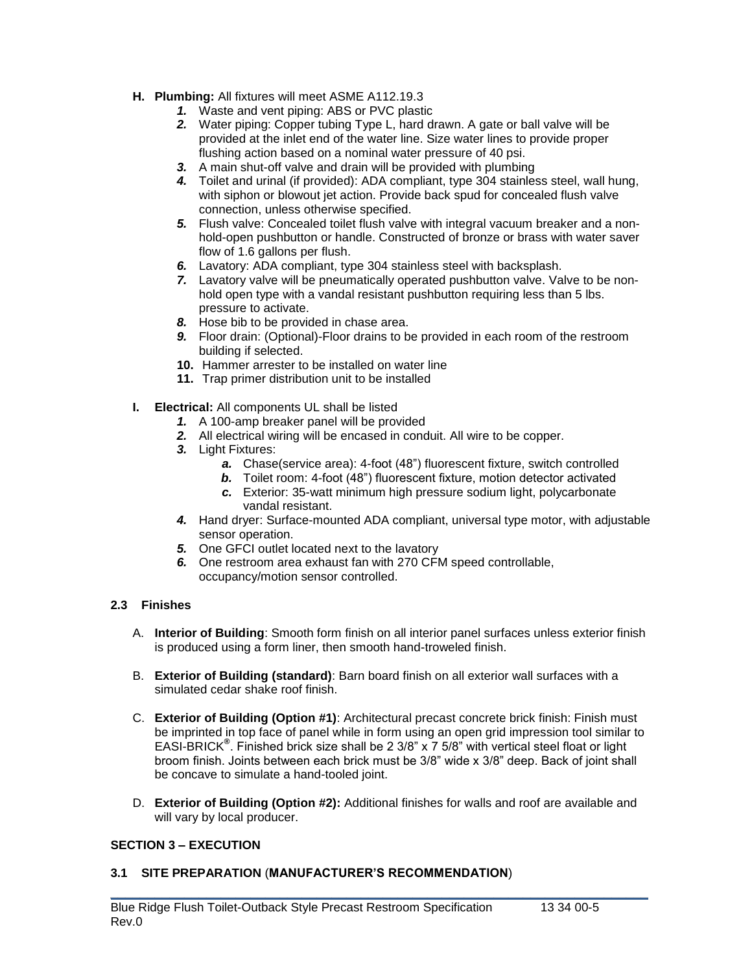- **H. Plumbing:** All fixtures will meet ASME A112.19.3
	- *1.* Waste and vent piping: ABS or PVC plastic
	- *2.* Water piping: Copper tubing Type L, hard drawn. A gate or ball valve will be provided at the inlet end of the water line. Size water lines to provide proper flushing action based on a nominal water pressure of 40 psi.
	- *3.* A main shut-off valve and drain will be provided with plumbing
	- *4.* Toilet and urinal (if provided): ADA compliant, type 304 stainless steel, wall hung, with siphon or blowout jet action. Provide back spud for concealed flush valve connection, unless otherwise specified.
	- *5.* Flush valve: Concealed toilet flush valve with integral vacuum breaker and a nonhold-open pushbutton or handle. Constructed of bronze or brass with water saver flow of 1.6 gallons per flush.
	- *6.* Lavatory: ADA compliant, type 304 stainless steel with backsplash.
	- *7.* Lavatory valve will be pneumatically operated pushbutton valve. Valve to be nonhold open type with a vandal resistant pushbutton requiring less than 5 lbs. pressure to activate.
	- *8.* Hose bib to be provided in chase area.
	- *9.* Floor drain: (Optional)-Floor drains to be provided in each room of the restroom building if selected.
	- **10.** Hammer arrester to be installed on water line
	- **11.** Trap primer distribution unit to be installed
- **I. Electrical:** All components UL shall be listed
	- *1.* A 100-amp breaker panel will be provided
	- *2.* All electrical wiring will be encased in conduit. All wire to be copper.
	- *3.* Light Fixtures:
		- *a.* Chase(service area): 4-foot (48") fluorescent fixture, switch controlled
		- *b.* Toilet room: 4-foot (48") fluorescent fixture, motion detector activated
		- *c.* Exterior: 35-watt minimum high pressure sodium light, polycarbonate vandal resistant.
	- *4.* Hand dryer: Surface-mounted ADA compliant, universal type motor, with adjustable sensor operation.
	- *5.* One GFCI outlet located next to the lavatory
	- *6.* One restroom area exhaust fan with 270 CFM speed controllable, occupancy/motion sensor controlled.

## **2.3 Finishes**

- A. **Interior of Building**: Smooth form finish on all interior panel surfaces unless exterior finish is produced using a form liner, then smooth hand-troweled finish.
- B. **Exterior of Building (standard)**: Barn board finish on all exterior wall surfaces with a simulated cedar shake roof finish.
- C. **Exterior of Building (Option #1)**: Architectural precast concrete brick finish: Finish must be imprinted in top face of panel while in form using an open grid impression tool similar to EASI-BRICK**®** . Finished brick size shall be 2 3/8" x 7 5/8" with vertical steel float or light broom finish. Joints between each brick must be 3/8" wide x 3/8" deep. Back of joint shall be concave to simulate a hand-tooled joint.
- D. **Exterior of Building (Option #2):** Additional finishes for walls and roof are available and will vary by local producer.

 $\_$  , and the set of the set of the set of the set of the set of the set of the set of the set of the set of the set of the set of the set of the set of the set of the set of the set of the set of the set of the set of th

## **SECTION 3 – EXECUTION**

## **3.1 SITE PREPARATION** (**MANUFACTURER'S RECOMMENDATION**)